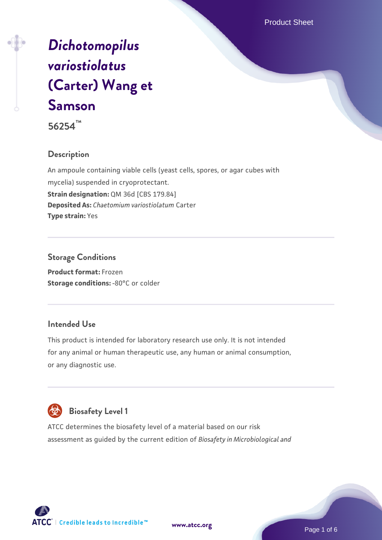Product Sheet

# *[Dichotomopilus](https://www.atcc.org/products/56254) [variostiolatus](https://www.atcc.org/products/56254)* **[\(Carter\) Wang et](https://www.atcc.org/products/56254) [Samson](https://www.atcc.org/products/56254)**



#### **Description**

An ampoule containing viable cells (yeast cells, spores, or agar cubes with mycelia) suspended in cryoprotectant. **Strain designation:** QM 36d [CBS 179.84] **Deposited As:** *Chaetomium variostiolatum* Carter **Type strain:** Yes

#### **Storage Conditions**

**Product format:** Frozen **Storage conditions: -80°C or colder** 

#### **Intended Use**

This product is intended for laboratory research use only. It is not intended for any animal or human therapeutic use, any human or animal consumption, or any diagnostic use.



# **Biosafety Level 1**

ATCC determines the biosafety level of a material based on our risk assessment as guided by the current edition of *Biosafety in Microbiological and*



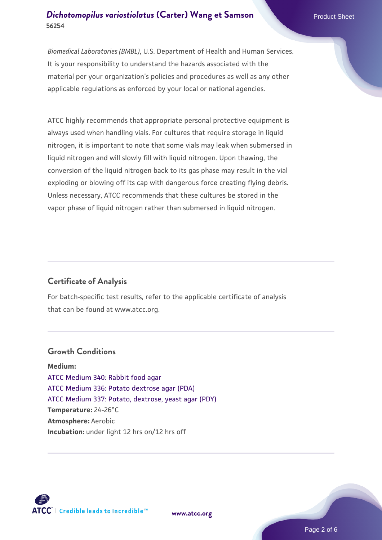*Biomedical Laboratories (BMBL)*, U.S. Department of Health and Human Services. It is your responsibility to understand the hazards associated with the material per your organization's policies and procedures as well as any other applicable regulations as enforced by your local or national agencies.

ATCC highly recommends that appropriate personal protective equipment is always used when handling vials. For cultures that require storage in liquid nitrogen, it is important to note that some vials may leak when submersed in liquid nitrogen and will slowly fill with liquid nitrogen. Upon thawing, the conversion of the liquid nitrogen back to its gas phase may result in the vial exploding or blowing off its cap with dangerous force creating flying debris. Unless necessary, ATCC recommends that these cultures be stored in the vapor phase of liquid nitrogen rather than submersed in liquid nitrogen.

#### **Certificate of Analysis**

For batch-specific test results, refer to the applicable certificate of analysis that can be found at www.atcc.org.

#### **Growth Conditions**

**Medium:**  [ATCC Medium 340: Rabbit food agar](https://www.atcc.org/-/media/product-assets/documents/microbial-media-formulations/3/4/0/atcc-medium-340.pdf?rev=254676f4d142497b89e898c48f4ebfc9) [ATCC Medium 336: Potato dextrose agar \(PDA\)](https://www.atcc.org/-/media/product-assets/documents/microbial-media-formulations/3/3/6/atcc-medium-336.pdf?rev=d9160ad44d934cd8b65175461abbf3b9) [ATCC Medium 337: Potato, dextrose, yeast agar \(PDY\)](https://www.atcc.org/-/media/product-assets/documents/microbial-media-formulations/3/3/7/atcc-medium-337.pdf?rev=5ef1e7623358423899d4314148d45ff2) **Temperature:** 24-26°C **Atmosphere:** Aerobic **Incubation:** under light 12 hrs on/12 hrs off



**[www.atcc.org](http://www.atcc.org)**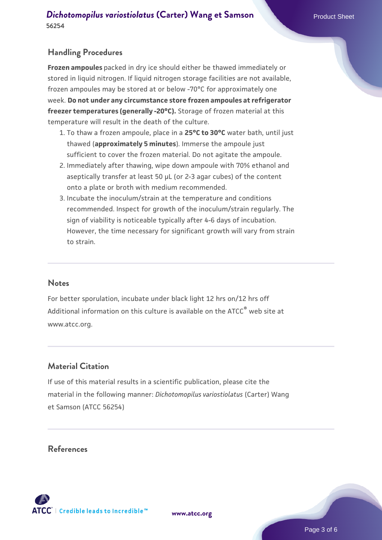## **Handling Procedures**

**Frozen ampoules** packed in dry ice should either be thawed immediately or stored in liquid nitrogen. If liquid nitrogen storage facilities are not available, frozen ampoules may be stored at or below -70°C for approximately one week. **Do not under any circumstance store frozen ampoules at refrigerator freezer temperatures (generally -20°C).** Storage of frozen material at this temperature will result in the death of the culture.

- 1. To thaw a frozen ampoule, place in a **25°C to 30°C** water bath, until just thawed (**approximately 5 minutes**). Immerse the ampoule just sufficient to cover the frozen material. Do not agitate the ampoule.
- 2. Immediately after thawing, wipe down ampoule with 70% ethanol and aseptically transfer at least 50 µL (or 2-3 agar cubes) of the content onto a plate or broth with medium recommended.
- 3. Incubate the inoculum/strain at the temperature and conditions recommended. Inspect for growth of the inoculum/strain regularly. The sign of viability is noticeable typically after 4-6 days of incubation. However, the time necessary for significant growth will vary from strain to strain.

#### **Notes**

For better sporulation, incubate under black light 12 hrs on/12 hrs off Additional information on this culture is available on the ATCC<sup>®</sup> web site at www.atcc.org.

#### **Material Citation**

If use of this material results in a scientific publication, please cite the material in the following manner: *Dichotomopilus variostiolatus* (Carter) Wang et Samson (ATCC 56254)

#### **References**



**[www.atcc.org](http://www.atcc.org)**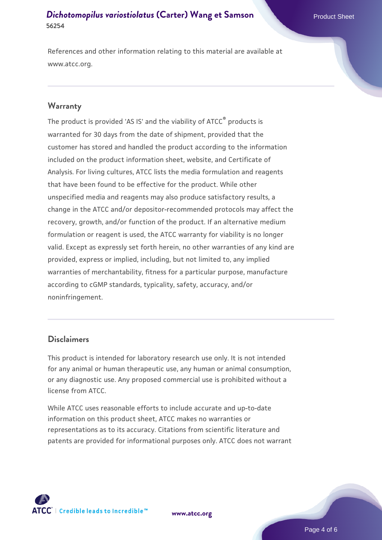#### **[Dichotomopilus variostiolatus](https://www.atcc.org/products/56254) [\(Carter\) Wang et Samson](https://www.atcc.org/products/56254) 56254**

References and other information relating to this material are available at www.atcc.org.

#### **Warranty**

The product is provided 'AS IS' and the viability of ATCC® products is warranted for 30 days from the date of shipment, provided that the customer has stored and handled the product according to the information included on the product information sheet, website, and Certificate of Analysis. For living cultures, ATCC lists the media formulation and reagents that have been found to be effective for the product. While other unspecified media and reagents may also produce satisfactory results, a change in the ATCC and/or depositor-recommended protocols may affect the recovery, growth, and/or function of the product. If an alternative medium formulation or reagent is used, the ATCC warranty for viability is no longer valid. Except as expressly set forth herein, no other warranties of any kind are provided, express or implied, including, but not limited to, any implied warranties of merchantability, fitness for a particular purpose, manufacture according to cGMP standards, typicality, safety, accuracy, and/or noninfringement.

#### **Disclaimers**

This product is intended for laboratory research use only. It is not intended for any animal or human therapeutic use, any human or animal consumption, or any diagnostic use. Any proposed commercial use is prohibited without a license from ATCC.

While ATCC uses reasonable efforts to include accurate and up-to-date information on this product sheet, ATCC makes no warranties or representations as to its accuracy. Citations from scientific literature and patents are provided for informational purposes only. ATCC does not warrant

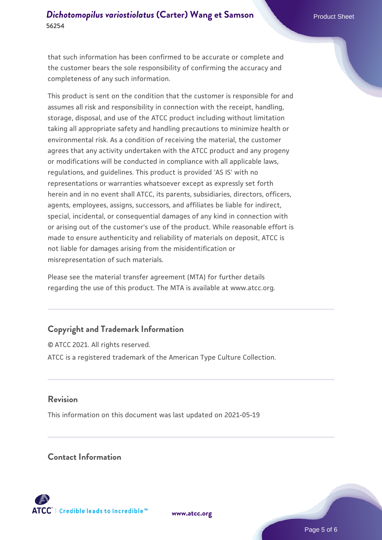#### **[Dichotomopilus variostiolatus](https://www.atcc.org/products/56254) [\(Carter\) Wang et Samson](https://www.atcc.org/products/56254) 56254**

that such information has been confirmed to be accurate or complete and the customer bears the sole responsibility of confirming the accuracy and completeness of any such information.

This product is sent on the condition that the customer is responsible for and assumes all risk and responsibility in connection with the receipt, handling, storage, disposal, and use of the ATCC product including without limitation taking all appropriate safety and handling precautions to minimize health or environmental risk. As a condition of receiving the material, the customer agrees that any activity undertaken with the ATCC product and any progeny or modifications will be conducted in compliance with all applicable laws, regulations, and guidelines. This product is provided 'AS IS' with no representations or warranties whatsoever except as expressly set forth herein and in no event shall ATCC, its parents, subsidiaries, directors, officers, agents, employees, assigns, successors, and affiliates be liable for indirect, special, incidental, or consequential damages of any kind in connection with or arising out of the customer's use of the product. While reasonable effort is made to ensure authenticity and reliability of materials on deposit, ATCC is not liable for damages arising from the misidentification or misrepresentation of such materials.

Please see the material transfer agreement (MTA) for further details regarding the use of this product. The MTA is available at www.atcc.org.

#### **Copyright and Trademark Information**

© ATCC 2021. All rights reserved. ATCC is a registered trademark of the American Type Culture Collection.

#### **Revision**

This information on this document was last updated on 2021-05-19

#### **Contact Information**



**[www.atcc.org](http://www.atcc.org)**

Page 5 of 6